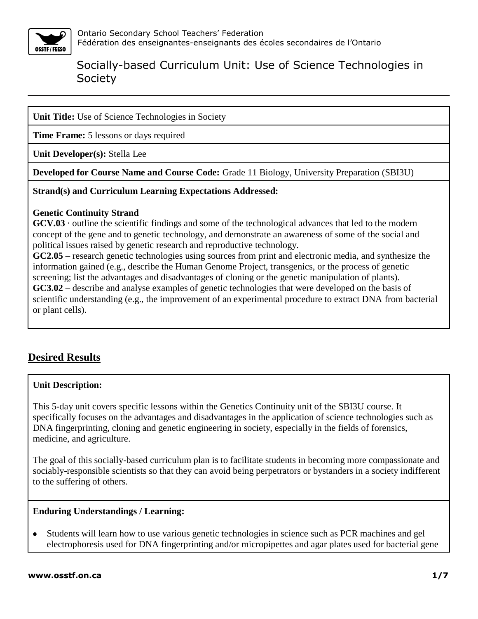

**Unit Title:** Use of Science Technologies in Society

**Time Frame:** 5 lessons or days required

**Unit Developer(s):** Stella Lee

**Developed for Course Name and Course Code:** Grade 11 Biology, University Preparation (SBI3U)

**Strand(s) and Curriculum Learning Expectations Addressed:**

#### **Genetic Continuity Strand**

**GCV.03** · outline the scientific findings and some of the technological advances that led to the modern concept of the gene and to genetic technology, and demonstrate an awareness of some of the social and political issues raised by genetic research and reproductive technology.

**GC2.05** – research genetic technologies using sources from print and electronic media, and synthesize the information gained (e.g., describe the Human Genome Project, transgenics, or the process of genetic screening; list the advantages and disadvantages of cloning or the genetic manipulation of plants). **GC3.02** – describe and analyse examples of genetic technologies that were developed on the basis of scientific understanding (e.g., the improvement of an experimental procedure to extract DNA from bacterial or plant cells).

## **Desired Results**

#### **Unit Description:**

This 5-day unit covers specific lessons within the Genetics Continuity unit of the SBI3U course. It specifically focuses on the advantages and disadvantages in the application of science technologies such as DNA fingerprinting, cloning and genetic engineering in society, especially in the fields of forensics, medicine, and agriculture.

The goal of this socially-based curriculum plan is to facilitate students in becoming more compassionate and sociably-responsible scientists so that they can avoid being perpetrators or bystanders in a society indifferent to the suffering of others.

#### **Enduring Understandings / Learning:**

Students will learn how to use various genetic technologies in science such as PCR machines and gel  $\bullet$ electrophoresis used for DNA fingerprinting and/or micropipettes and agar plates used for bacterial gene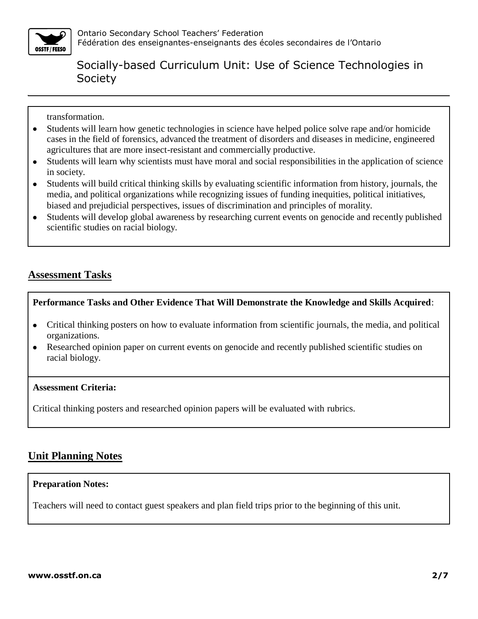

transformation.

- Students will learn how genetic technologies in science have helped police solve rape and/or homicide  $\bullet$ cases in the field of forensics, advanced the treatment of disorders and diseases in medicine, engineered agricultures that are more insect-resistant and commercially productive.
- Students will learn why scientists must have moral and social responsibilities in the application of science  $\bullet$ in society.
- Students will build critical thinking skills by evaluating scientific information from history, journals, the  $\bullet$ media, and political organizations while recognizing issues of funding inequities, political initiatives, biased and prejudicial perspectives, issues of discrimination and principles of morality.
- Students will develop global awareness by researching current events on genocide and recently published  $\bullet$ scientific studies on racial biology.

## **Assessment Tasks**

#### **Performance Tasks and Other Evidence That Will Demonstrate the Knowledge and Skills Acquired**:

- Critical thinking posters on how to evaluate information from scientific journals, the media, and political organizations.
- Researched opinion paper on current events on genocide and recently published scientific studies on  $\bullet$ racial biology.

#### **Assessment Criteria:**

Critical thinking posters and researched opinion papers will be evaluated with rubrics.

### **Unit Planning Notes**

#### **Preparation Notes:**

Teachers will need to contact guest speakers and plan field trips prior to the beginning of this unit.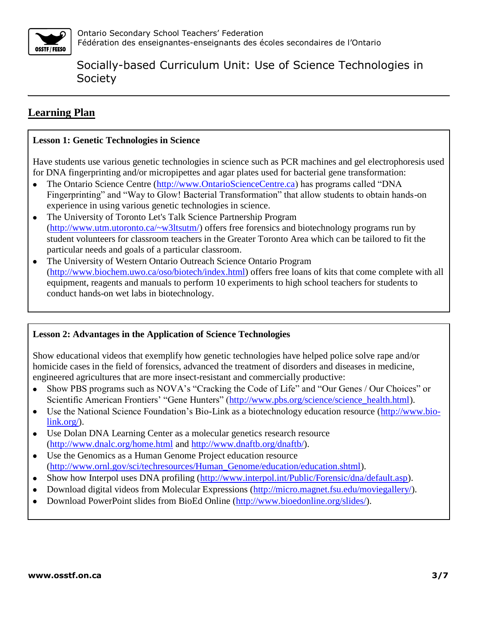

## **Learning Plan**

#### **Lesson 1: Genetic Technologies in Science**

Have students use various genetic technologies in science such as PCR machines and gel electrophoresis used for DNA fingerprinting and/or micropipettes and agar plates used for bacterial gene transformation:

- The Ontario Science Centre [\(http://www.OntarioScienceCentre.ca\)](http://www.ontariosciencecentre.ca/) has programs called "DNA Fingerprinting" and "Way to Glow! Bacterial Transformation" that allow students to obtain hands-on experience in using various genetic technologies in science.
- The University of Toronto Let's Talk Science Partnership Program [\(http://www.utm.utoronto.ca/~w3ltsutm/\)](http://www.utm.utoronto.ca/~w3ltsutm/) offers free forensics and biotechnology programs run by student volunteers for classroom teachers in the Greater Toronto Area which can be tailored to fit the particular needs and goals of a particular classroom.
- The University of Western Ontario Outreach Science Ontario Program  $\bullet$ [\(http://www.biochem.uwo.ca/oso/biotech/index.html\)](http://www.biochem.uwo.ca/oso/biotech/index.html) offers free loans of kits that come complete with all equipment, reagents and manuals to perform 10 experiments to high school teachers for students to conduct hands-on wet labs in biotechnology.

#### **Lesson 2: Advantages in the Application of Science Technologies**

Show educational videos that exemplify how genetic technologies have helped police solve rape and/or homicide cases in the field of forensics, advanced the treatment of disorders and diseases in medicine, engineered agricultures that are more insect-resistant and commercially productive:

- Show PBS programs such as NOVA's "Cracking the Code of Life" and "Our Genes / Our Choices" or  $\bullet$ Scientific American Frontiers' "Gene Hunters" [\(http://www.pbs.org/science/science\\_health.html\)](http://www.pbs.org/science/science_health.html).
- Use the National Science Foundation's Bio-Link as a biotechnology education resource [\(http://www.bio-](http://www.bio-link.org/) $\bullet$ [link.org/\)](http://www.bio-link.org/).
- Use Dolan DNA Learning Center as a molecular genetics research resource  $\bullet$ [\(http://www.dnalc.org/home.html](http://www.dnalc.org/home.html) and [http://www.dnaftb.org/dnaftb/\)](http://www.dnaftb.org/dnaftb/).
- Use the Genomics as a Human Genome Project education resource  $\bullet$ [\(http://www.ornl.gov/sci/techresources/Human\\_Genome/education/education.shtml\)](http://www.ornl.gov/sci/techresources/Human_Genome/education/education.shtml).
- Show how Interpol uses DNA profiling [\(http://www.interpol.int/Public/Forensic/dna/default.asp\)](http://www.interpol.int/Public/Forensic/dna/default.asp).  $\bullet$
- Download digital videos from Molecular Expressions [\(http://micro.magnet.fsu.edu/moviegallery/\)](http://micro.magnet.fsu.edu/moviegallery/).  $\bullet$
- Download PowerPoint slides from BioEd Online [\(http://www.bioedonline.org/slides/\)](http://www.bioedonline.org/slides/). $\bullet$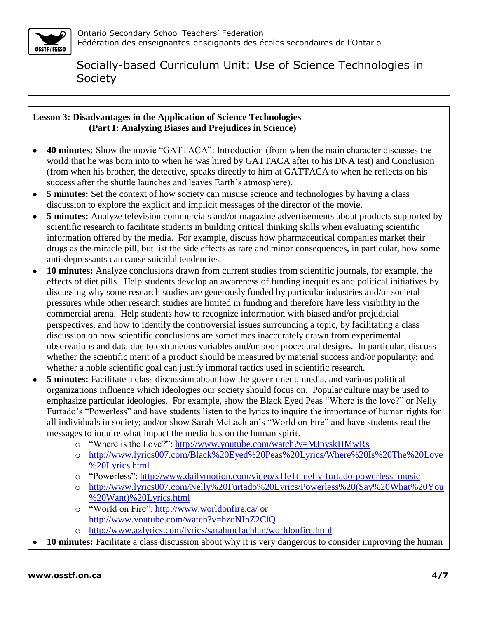

#### **Lesson 3: Disadvantages in the Application of Science Technologies (Part I: Analyzing Biases and Prejudices in Science)**

- **40 minutes:** Show the movie "GATTACA": Introduction (from when the main character discusses the  $\bullet$ world that he was born into to when he was hired by GATTACA after to his DNA test) and Conclusion (from when his brother, the detective, speaks directly to him at GATTACA to when he reflects on his success after the shuttle launches and leaves Earth's atmosphere).
- **5 minutes:** Set the context of how society can misuse science and technologies by having a class  $\bullet$ discussion to explore the explicit and implicit messages of the director of the movie.
- **5 minutes:** Analyze television commercials and/or magazine advertisements about products supported by  $\bullet$ scientific research to facilitate students in building critical thinking skills when evaluating scientific information offered by the media. For example, discuss how pharmaceutical companies market their drugs as the miracle pill, but list the side effects as rare and minor consequences, in particular, how some anti-depressants can cause suicidal tendencies.
- **10 minutes:** Analyze conclusions drawn from current studies from scientific journals, for example, the  $\bullet$ effects of diet pills. Help students develop an awareness of funding inequities and political initiatives by discussing why some research studies are generously funded by particular industries and/or societal pressures while other research studies are limited in funding and therefore have less visibility in the commercial arena. Help students how to recognize information with biased and/or prejudicial perspectives, and how to identify the controversial issues surrounding a topic, by facilitating a class discussion on how scientific conclusions are sometimes inaccurately drawn from experimental observations and data due to extraneous variables and/or poor procedural designs. In particular, discuss whether the scientific merit of a product should be measured by material success and/or popularity; and whether a noble scientific goal can justify immoral tactics used in scientific research.
- **5 minutes:** Facilitate a class discussion about how the government, media, and various political  $\bullet$ organizations influence which ideologies our society should focus on. Popular culture may be used to emphasize particular ideologies. For example, show the Black Eyed Peas "Where is the love?" or Nelly Furtado's "Powerless" and have students listen to the lyrics to inquire the importance of human rights for all individuals in society; and/or show Sarah McLachlan's "World on Fire" and have students read the messages to inquire what impact the media has on the human spirit.
	- o "Where is the Love?": <http://www.youtube.com/watch?v=MJpyskHMwRs>
	- o [http://www.lyrics007.com/Black%20Eyed%20Peas%20Lyrics/Where%20Is%20The%20Love](http://www.lyrics007.com/Black%20Eyed%20Peas%20Lyrics/Where%20Is%20The%20Love%20Lyrics.html) [%20Lyrics.html](http://www.lyrics007.com/Black%20Eyed%20Peas%20Lyrics/Where%20Is%20The%20Love%20Lyrics.html)
	- o "Powerless": [http://www.dailymotion.com/video/x1fe1t\\_nelly-furtado-powerless\\_music](http://www.dailymotion.com/video/x1fe1t_nelly-furtado-powerless_music)
	- o [http://www.lyrics007.com/Nelly%20Furtado%20Lyrics/Powerless%20\(Say%20What%20You](http://www.lyrics007.com/Nelly%20Furtado%20Lyrics/Powerless%20(Say%20What%20You%20Want)%20Lyrics.html) [%20Want\)%20Lyrics.html](http://www.lyrics007.com/Nelly%20Furtado%20Lyrics/Powerless%20(Say%20What%20You%20Want)%20Lyrics.html)
	- o "World on Fire":<http://www.worldonfire.ca/> or <http://www.youtube.com/watch?v=hzoNInZ2ClQ>
	- o <http://www.azlyrics.com/lyrics/sarahmclachlan/worldonfire.html>
- **10 minutes:** Facilitate a class discussion about why it is very dangerous to consider improving the human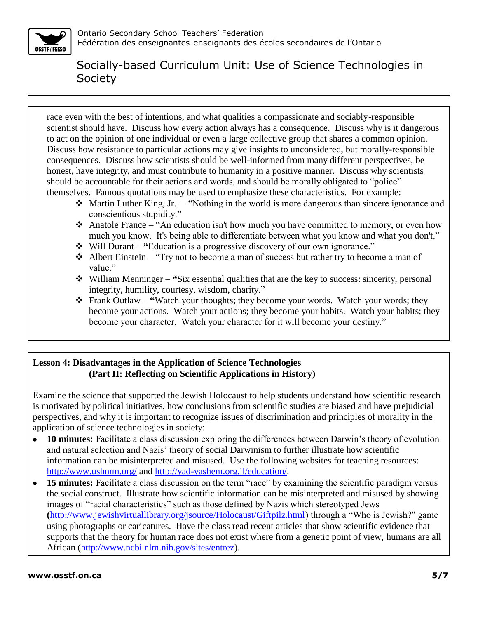

race even with the best of intentions, and what qualities a compassionate and sociably-responsible scientist should have. Discuss how every action always has a consequence. Discuss why is it dangerous to act on the opinion of one individual or even a large collective group that shares a common opinion. Discuss how resistance to particular actions may give insights to unconsidered, but morally-responsible consequences. Discuss how scientists should be well-informed from many different perspectives, be honest, have integrity, and must contribute to humanity in a positive manner. Discuss why scientists should be accountable for their actions and words, and should be morally obligated to "police" themselves. Famous quotations may be used to emphasize these characteristics. For example:

- $\triangleleft$  Martin Luther King, Jr. "Nothing in the world is more dangerous than sincere ignorance and conscientious stupidity."
- Anatole France "An education isn't how much you have committed to memory, or even how much you know. It's being able to differentiate between what you know and what you don't."
- Will Durant **"**Education is a progressive discovery of our own ignorance."
- $\triangleleft$  Albert Einstein "Try not to become a man of success but rather try to become a man of value."
- William Menninger **"**Six essential qualities that are the key to success: sincerity, personal integrity, humility, courtesy, wisdom, charity."
- Frank Outlaw **"**Watch your thoughts; they become your words. Watch your words; they become your actions. Watch your actions; they become your habits. Watch your habits; they become your character. Watch your character for it will become your destiny."

### **Lesson 4: Disadvantages in the Application of Science Technologies (Part II: Reflecting on Scientific Applications in History)**

Examine the science that supported the Jewish Holocaust to help students understand how scientific research is motivated by political initiatives, how conclusions from scientific studies are biased and have prejudicial perspectives, and why it is important to recognize issues of discrimination and principles of morality in the application of science technologies in society:

- **10 minutes:** Facilitate a class discussion exploring the differences between Darwin's theory of evolution  $\bullet$ and natural selection and Nazis' theory of social Darwinism to further illustrate how scientific information can be misinterpreted and misused. Use the following websites for teaching resources: <http://www.ushmm.org/> and [http://yad-vashem.org.il/education/.](http://yad-vashem.org.il/education/)
- **15 minutes:** Facilitate a class discussion on the term "race" by examining the scientific paradigm versus  $\bullet$ the social construct.Illustrate how scientific information can be misinterpreted and misused by showing images of "racial characteristics" such as those defined by Nazis which stereotyped Jews **(**[http://www.jewishvirtuallibrary.org/jsource/Holocaust/Giftpilz.html\)](http://www.jewishvirtuallibrary.org/jsource/Holocaust/Giftpilz.html) through a "Who is Jewish?" game using photographs or caricatures. Have the class read recent articles that show scientific evidence that supports that the theory for human race does not exist where from a genetic point of view, humans are all African [\(http://www.ncbi.nlm.nih.gov/sites/entrez\)](http://www.ncbi.nlm.nih.gov/sites/entrez).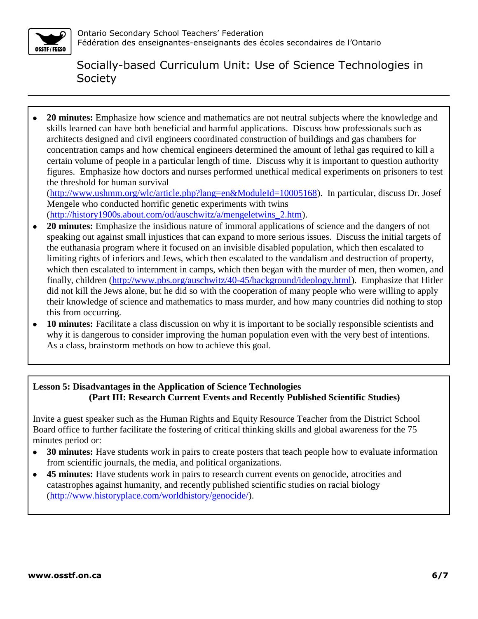

**20 minutes:** Emphasize how science and mathematics are not neutral subjects where the knowledge and  $\bullet$ skills learned can have both beneficial and harmful applications. Discuss how professionals such as architects designed and civil engineers coordinated construction of buildings and gas chambers for concentration camps and how chemical engineers determined the amount of lethal gas required to kill a certain volume of people in a particular length of time. Discuss why it is important to question authority figures. Emphasize how doctors and nurses performed unethical medical experiments on prisoners to test the threshold for human survival

[\(http://www.ushmm.org/wlc/article.php?lang=en&ModuleId=10005168\)](http://www.ushmm.org/wlc/article.php?lang=en&ModuleId=10005168). In particular, discuss Dr. Josef Mengele who conducted horrific genetic experiments with twins

[\(http://history1900s.about.com/od/auschwitz/a/mengeletwins\\_2.htm\)](http://history1900s.about.com/od/auschwitz/a/mengeletwins_2.htm).

- **20 minutes:** Emphasize the insidious nature of immoral applications of science and the dangers of not  $\bullet$ speaking out against small injustices that can expand to more serious issues. Discuss the initial targets of the euthanasia program where it focused on an invisible disabled population, which then escalated to limiting rights of inferiors and Jews, which then escalated to the vandalism and destruction of property, which then escalated to internment in camps, which then began with the murder of men, then women, and finally, children [\(http://www.pbs.org/auschwitz/40-45/background/ideology.html\)](http://www.pbs.org/auschwitz/40-45/background/ideology.html). Emphasize that Hitler did not kill the Jews alone, but he did so with the cooperation of many people who were willing to apply their knowledge of science and mathematics to mass murder, and how many countries did nothing to stop this from occurring.
- **10 minutes:** Facilitate a class discussion on why it is important to be socially responsible scientists and  $\bullet$ why it is dangerous to consider improving the human population even with the very best of intentions. As a class, brainstorm methods on how to achieve this goal.

#### **Lesson 5: Disadvantages in the Application of Science Technologies (Part III: Research Current Events and Recently Published Scientific Studies)**

Invite a guest speaker such as the Human Rights and Equity Resource Teacher from the District School Board office to further facilitate the fostering of critical thinking skills and global awareness for the 75 minutes period or:

- **30 minutes:** Have students work in pairs to create posters that teach people how to evaluate information  $\bullet$ from scientific journals, the media, and political organizations.
- **45 minutes:** Have students work in pairs to research current events on genocide, atrocities and  $\bullet$ catastrophes against humanity, and recently published scientific studies on racial biology [\(http://www.historyplace.com/worldhistory/genocide/\)](http://www.historyplace.com/worldhistory/genocide/).